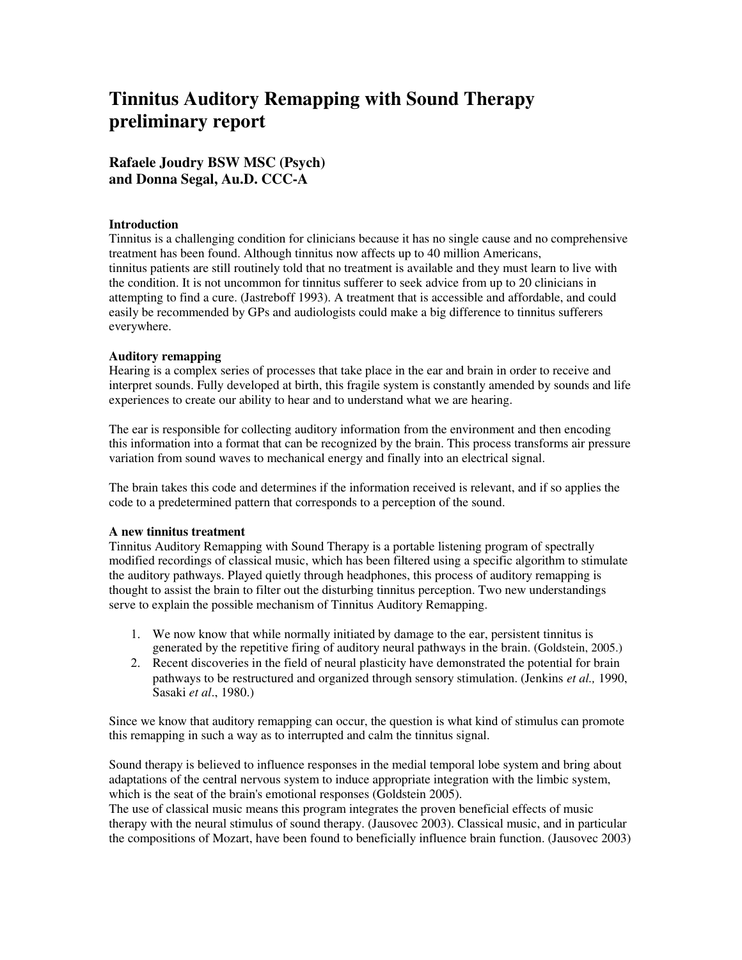# **Tinnitus Auditory Remapping with Sound Therapy preliminary report**

## **Rafaele Joudry BSW MSC (Psych) and Donna Segal, Au.D. CCC-A**

#### **Introduction**

Tinnitus is a challenging condition for clinicians because it has no single cause and no comprehensive treatment has been found. Although tinnitus now affects up to 40 million Americans, tinnitus patients are still routinely told that no treatment is available and they must learn to live with the condition. It is not uncommon for tinnitus sufferer to seek advice from up to 20 clinicians in attempting to find a cure. (Jastreboff 1993). A treatment that is accessible and affordable, and could easily be recommended by GPs and audiologists could make a big difference to tinnitus sufferers everywhere.

#### **Auditory remapping**

Hearing is a complex series of processes that take place in the ear and brain in order to receive and interpret sounds. Fully developed at birth, this fragile system is constantly amended by sounds and life experiences to create our ability to hear and to understand what we are hearing.

The ear is responsible for collecting auditory information from the environment and then encoding this information into a format that can be recognized by the brain. This process transforms air pressure variation from sound waves to mechanical energy and finally into an electrical signal.

The brain takes this code and determines if the information received is relevant, and if so applies the code to a predetermined pattern that corresponds to a perception of the sound.

#### **A new tinnitus treatment**

Tinnitus Auditory Remapping with Sound Therapy is a portable listening program of spectrally modified recordings of classical music, which has been filtered using a specific algorithm to stimulate the auditory pathways. Played quietly through headphones, this process of auditory remapping is thought to assist the brain to filter out the disturbing tinnitus perception. Two new understandings serve to explain the possible mechanism of Tinnitus Auditory Remapping.

- 1. We now know that while normally initiated by damage to the ear, persistent tinnitus is generated by the repetitive firing of auditory neural pathways in the brain. (Goldstein, 2005.)
- 2. Recent discoveries in the field of neural plasticity have demonstrated the potential for brain pathways to be restructured and organized through sensory stimulation. (Jenkins *et al.,* 1990, Sasaki *et al*., 1980.)

Since we know that auditory remapping can occur, the question is what kind of stimulus can promote this remapping in such a way as to interrupted and calm the tinnitus signal.

Sound therapy is believed to influence responses in the medial temporal lobe system and bring about adaptations of the central nervous system to induce appropriate integration with the limbic system, which is the seat of the brain's emotional responses (Goldstein 2005).

The use of classical music means this program integrates the proven beneficial effects of music therapy with the neural stimulus of sound therapy. (Jausovec 2003). Classical music, and in particular the compositions of Mozart, have been found to beneficially influence brain function. (Jausovec 2003)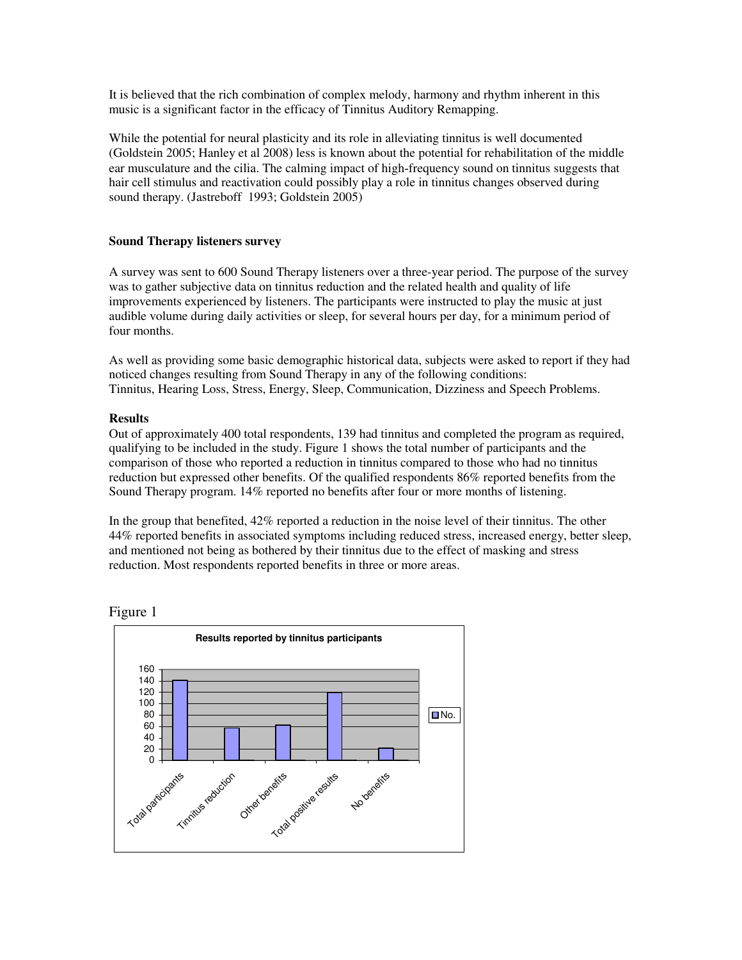It is believed that the rich combination of complex melody, harmony and rhythm inherent in this music is a significant factor in the efficacy of Tinnitus Auditory Remapping.

While the potential for neural plasticity and its role in alleviating tinnitus is well documented (Goldstein 2005; Hanley et al 2008) less is known about the potential for rehabilitation of the middle ear musculature and the cilia. The calming impact of high-frequency sound on tinnitus suggests that hair cell stimulus and reactivation could possibly play a role in tinnitus changes observed during sound therapy. (Jastreboff 1993; Goldstein 2005)

#### **Sound Therapy listeners survey**

A survey was sent to 600 Sound Therapy listeners over a three-year period. The purpose of the survey was to gather subjective data on tinnitus reduction and the related health and quality of life improvements experienced by listeners. The participants were instructed to play the music at just audible volume during daily activities or sleep, for several hours per day, for a minimum period of four months.

As well as providing some basic demographic historical data, subjects were asked to report if they had noticed changes resulting from Sound Therapy in any of the following conditions: Tinnitus, Hearing Loss, Stress, Energy, Sleep, Communication, Dizziness and Speech Problems.

#### **Results**

Out of approximately 400 total respondents, 139 had tinnitus and completed the program as required, qualifying to be included in the study. Figure 1 shows the total number of participants and the comparison of those who reported a reduction in tinnitus compared to those who had no tinnitus reduction but expressed other benefits. Of the qualified respondents 86% reported benefits from the Sound Therapy program. 14% reported no benefits after four or more months of listening.

In the group that benefited, 42% reported a reduction in the noise level of their tinnitus. The other 44% reported benefits in associated symptoms including reduced stress, increased energy, better sleep, and mentioned not being as bothered by their tinnitus due to the effect of masking and stress reduction. Most respondents reported benefits in three or more areas.



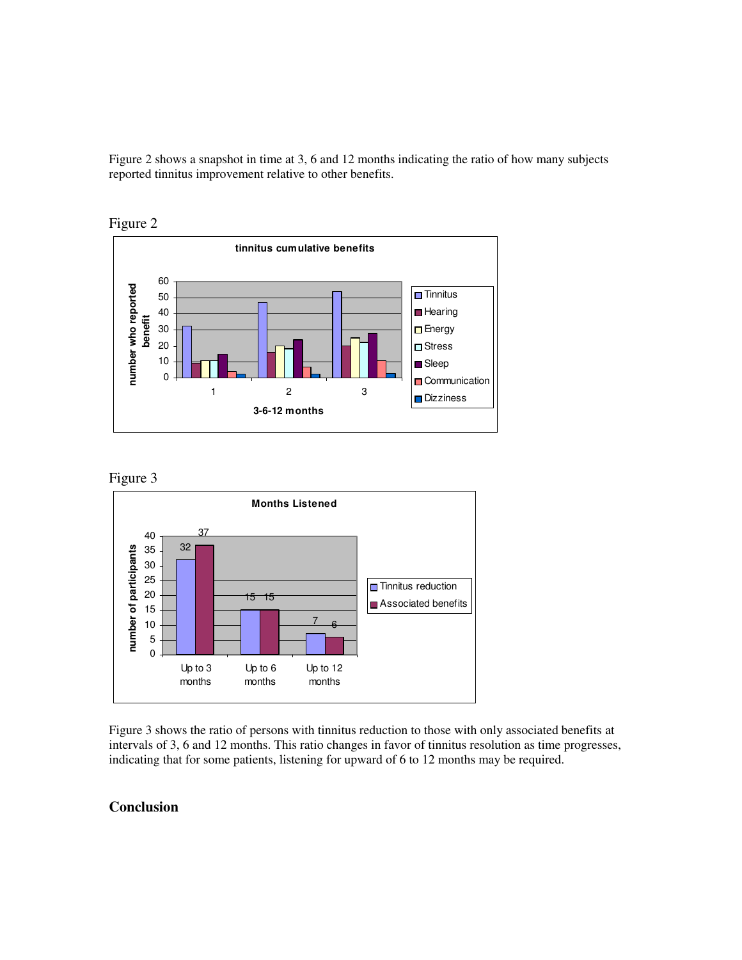Figure 2 shows a snapshot in time at 3, 6 and 12 months indicating the ratio of how many subjects reported tinnitus improvement relative to other benefits.









Figure 3 shows the ratio of persons with tinnitus reduction to those with only associated benefits at intervals of 3, 6 and 12 months. This ratio changes in favor of tinnitus resolution as time progresses, indicating that for some patients, listening for upward of 6 to 12 months may be required.

### **Conclusion**